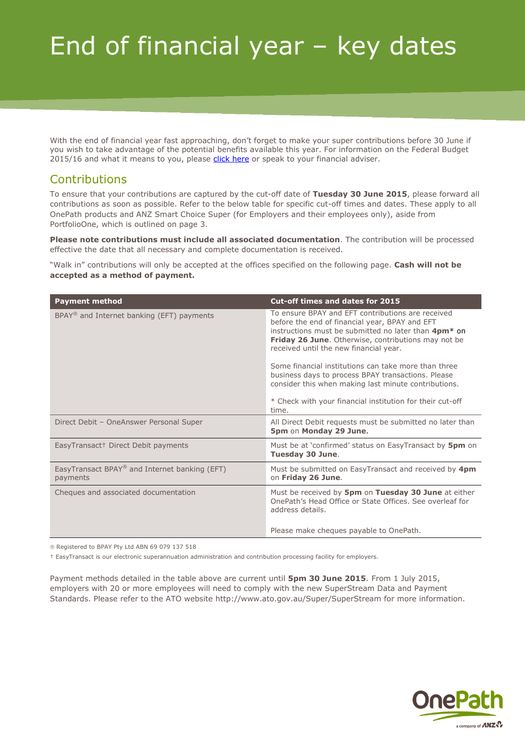# End of financial year – key dates

With the end of financial year fast approaching, don't forget to make your super contributions before 30 June if you wish to take advantage of the potential benefits available this year. For information on the Federal Budget 2015/16 and what it means to you, please [click here](http://www.onepath.com.au/public/pdfs/Federal_Budget_Member_Client_Update_2015.pdf) or speak to your financial adviser.

# **Contributions**

To ensure that your contributions are captured by the cut-off date of **Tuesday 30 June 2015**, please forward all contributions as soon as possible. Refer to the below table for specific cut-off times and dates. These apply to all OnePath products and ANZ Smart Choice Super (for Employers and their employees only), aside from PortfolioOne, which is outlined on page 3.

**Please note contributions must include all associated documentation**. The contribution will be processed effective the date that all necessary and complete documentation is received.

"Walk in" contributions will only be accepted at the offices specified on the following page. **Cash will not be accepted as a method of payment.**

| <b>Payment method</b>                                     | <b>Cut-off times and dates for 2015</b>                                                                                                                                                                                                                                                                                                                                                                                                                                                                                     |
|-----------------------------------------------------------|-----------------------------------------------------------------------------------------------------------------------------------------------------------------------------------------------------------------------------------------------------------------------------------------------------------------------------------------------------------------------------------------------------------------------------------------------------------------------------------------------------------------------------|
| BPAY <sup>®</sup> and Internet banking (EFT) payments     | To ensure BPAY and EFT contributions are received<br>before the end of financial year, BPAY and EFT<br>instructions must be submitted no later than 4pm <sup>*</sup> on<br><b>Friday 26 June.</b> Otherwise, contributions may not be<br>received until the new financial year.<br>Some financial institutions can take more than three<br>business days to process BPAY transactions. Please<br>consider this when making last minute contributions.<br>* Check with your financial institution for their cut-off<br>time. |
| Direct Debit - OneAnswer Personal Super                   | All Direct Debit requests must be submitted no later than<br>5pm on Monday 29 June.                                                                                                                                                                                                                                                                                                                                                                                                                                         |
| EasyTransact+ Direct Debit payments                       | Must be at 'confirmed' status on EasyTransact by <b>5pm</b> on<br>Tuesday 30 June.                                                                                                                                                                                                                                                                                                                                                                                                                                          |
| EasyTransact BPAY® and Internet banking (EFT)<br>payments | Must be submitted on EasyTransact and received by 4pm<br>on Friday 26 June.                                                                                                                                                                                                                                                                                                                                                                                                                                                 |
| Cheques and associated documentation                      | Must be received by 5pm on Tuesday 30 June at either<br>OnePath's Head Office or State Offices. See overleaf for<br>address details.<br>Please make cheques payable to OnePath.                                                                                                                                                                                                                                                                                                                                             |

® Registered to BPAY Pty Ltd ABN 69 079 137 518

† EasyTransact is our electronic superannuation administration and contribution processing facility for employers.

Payment methods detailed in the table above are current until **5pm 30 June 2015**. From 1 July 2015, employers with 20 or more employees will need to comply with the new SuperStream Data and Payment Standards. Please refer to the ATO website<http://www.ato.gov.au/Super/SuperStream> for more information.

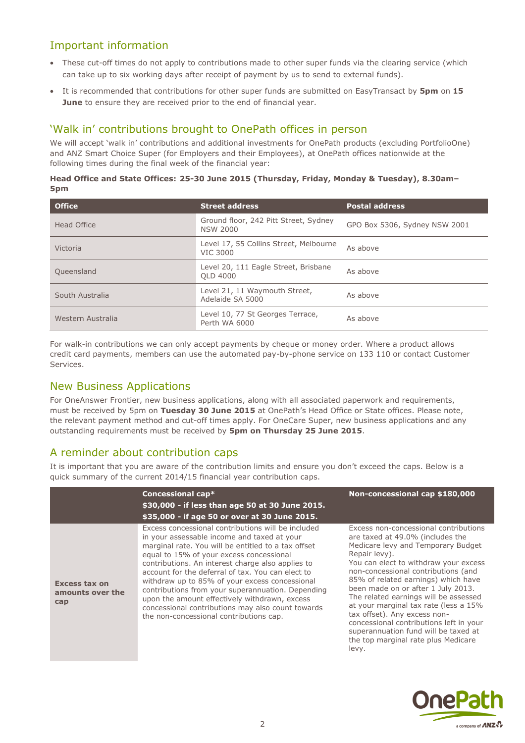## Important information

- These cut-off times do not apply to contributions made to other super funds via the clearing service (which can take up to six working days after receipt of payment by us to send to external funds).
- It is recommended that contributions for other super funds are submitted on EasyTransact by **5pm** on **15 June** to ensure they are received prior to the end of financial year.

#### 'Walk in' contributions brought to OnePath offices in person

We will accept 'walk in' contributions and additional investments for OnePath products (excluding PortfolioOne) and ANZ Smart Choice Super (for Employers and their Employees), at OnePath offices nationwide at the following times during the final week of the financial year:

#### **Head Office and State Offices: 25-30 June 2015 (Thursday, Friday, Monday & Tuesday), 8.30am– 5pm**

| <b>Office</b>     | <b>Street address</b>                                     | <b>Postal address</b>         |
|-------------------|-----------------------------------------------------------|-------------------------------|
| Head Office       | Ground floor, 242 Pitt Street, Sydney<br><b>NSW 2000</b>  | GPO Box 5306, Sydney NSW 2001 |
| Victoria          | Level 17, 55 Collins Street, Melbourne<br><b>VIC 3000</b> | As above                      |
| Queensland        | Level 20, 111 Eagle Street, Brisbane<br>OLD 4000          | As above                      |
| South Australia   | Level 21, 11 Waymouth Street,<br>Adelaide SA 5000         | As above                      |
| Western Australia | Level 10, 77 St Georges Terrace,<br>Perth WA 6000         | As above                      |

For walk-in contributions we can only accept payments by cheque or money order. Where a product allows credit card payments, members can use the automated pay-by-phone service on 133 110 or contact Customer Services.

## New Business Applications

For OneAnswer Frontier, new business applications, along with all associated paperwork and requirements, must be received by 5pm on **Tuesday 30 June 2015** at OnePath's Head Office or State offices. Please note, the relevant payment method and cut-off times apply. For OneCare Super, new business applications and any outstanding requirements must be received by **5pm on Thursday 25 June 2015**.

## A reminder about contribution caps

It is important that you are aware of the contribution limits and ensure you don't exceed the caps. Below is a quick summary of the current 2014/15 financial year contribution caps.

|                                                 | Concessional cap*<br>\$30,000 - if less than age 50 at 30 June 2015.<br>\$35,000 - if age 50 or over at 30 June 2015.                                                                                                                                                                                                                                                                                                                                                                                                                                                  | Non-concessional cap \$180,000                                                                                                                                                                                                                                                                                                                                                                                                                                                                                                                     |
|-------------------------------------------------|------------------------------------------------------------------------------------------------------------------------------------------------------------------------------------------------------------------------------------------------------------------------------------------------------------------------------------------------------------------------------------------------------------------------------------------------------------------------------------------------------------------------------------------------------------------------|----------------------------------------------------------------------------------------------------------------------------------------------------------------------------------------------------------------------------------------------------------------------------------------------------------------------------------------------------------------------------------------------------------------------------------------------------------------------------------------------------------------------------------------------------|
| <b>Excess tax on</b><br>amounts over the<br>cap | Excess concessional contributions will be included<br>in your assessable income and taxed at your<br>marginal rate. You will be entitled to a tax offset<br>equal to 15% of your excess concessional<br>contributions. An interest charge also applies to<br>account for the deferral of tax. You can elect to<br>withdraw up to 85% of your excess concessional<br>contributions from your superannuation. Depending<br>upon the amount effectively withdrawn, excess<br>concessional contributions may also count towards<br>the non-concessional contributions cap. | Excess non-concessional contributions<br>are taxed at 49.0% (includes the<br>Medicare levy and Temporary Budget<br>Repair levy).<br>You can elect to withdraw your excess<br>non-concessional contributions (and<br>85% of related earnings) which have<br>been made on or after 1 July 2013.<br>The related earnings will be assessed<br>at your marginal tax rate (less a 15%<br>tax offset). Any excess non-<br>concessional contributions left in your<br>superannuation fund will be taxed at<br>the top marginal rate plus Medicare<br>levy. |

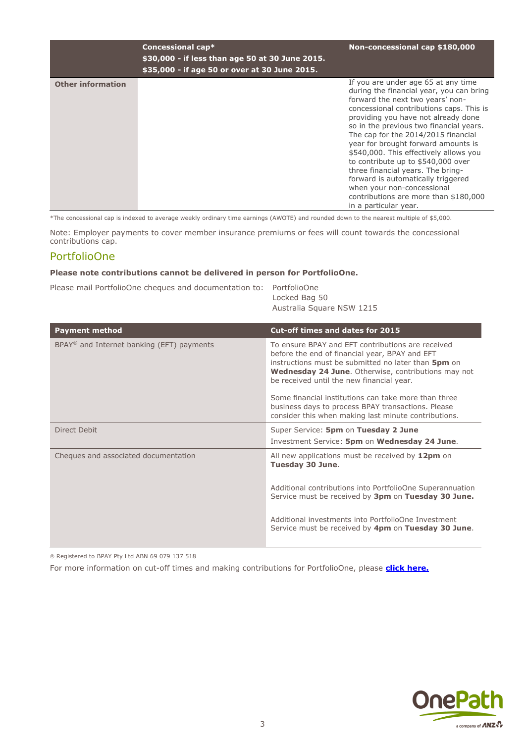|                          | Concessional cap*<br>\$30,000 - if less than age 50 at 30 June 2015.<br>\$35,000 - if age 50 or over at 30 June 2015. | Non-concessional cap \$180,000                                                                                                                                                                                                                                                                                                                                                                                                                                                                                                                                                             |
|--------------------------|-----------------------------------------------------------------------------------------------------------------------|--------------------------------------------------------------------------------------------------------------------------------------------------------------------------------------------------------------------------------------------------------------------------------------------------------------------------------------------------------------------------------------------------------------------------------------------------------------------------------------------------------------------------------------------------------------------------------------------|
| <b>Other information</b> |                                                                                                                       | If you are under age 65 at any time<br>during the financial year, you can bring<br>forward the next two years' non-<br>concessional contributions caps. This is<br>providing you have not already done<br>so in the previous two financial years.<br>The cap for the 2014/2015 financial<br>year for brought forward amounts is<br>\$540,000. This effectively allows you<br>to contribute up to \$540,000 over<br>three financial years. The bring-<br>forward is automatically triggered<br>when your non-concessional<br>contributions are more than \$180,000<br>in a particular year. |

\*The concessional cap is indexed to average weekly ordinary time earnings (AWOTE) and rounded down to the nearest multiple of \$5,000.

Note: Employer payments to cover member insurance premiums or fees will count towards the concessional contributions cap.

#### PortfolioOne

#### **Please note contributions cannot be delivered in person for PortfolioOne.**

|  |  | Please mail PortfolioOne cheques and documentation to: PortfolioOne |            |
|--|--|---------------------------------------------------------------------|------------|
|  |  |                                                                     | Locked Pos |

Locked Bag 50 Australia Square NSW 1215

| <b>Payment method</b>                                    | Cut-off times and dates for 2015                                                                                                                                                                                                                                      |  |
|----------------------------------------------------------|-----------------------------------------------------------------------------------------------------------------------------------------------------------------------------------------------------------------------------------------------------------------------|--|
| $BPAY^{\circledast}$ and Internet banking (EFT) payments | To ensure BPAY and EFT contributions are received<br>before the end of financial year, BPAY and EFT<br>instructions must be submitted no later than 5pm on<br><b>Wednesday 24 June.</b> Otherwise, contributions may not<br>be received until the new financial year. |  |
|                                                          | Some financial institutions can take more than three<br>business days to process BPAY transactions. Please<br>consider this when making last minute contributions.                                                                                                    |  |
| Direct Debit                                             | Super Service: 5pm on Tuesday 2 June<br>Investment Service: 5pm on Wednesday 24 June.                                                                                                                                                                                 |  |
| Cheques and associated documentation                     | All new applications must be received by 12pm on<br>Tuesday 30 June.                                                                                                                                                                                                  |  |
|                                                          | Additional contributions into PortfolioOne Superannuation<br>Service must be received by 3pm on Tuesday 30 June.                                                                                                                                                      |  |
|                                                          | Additional investments into PortfolioOne Investment<br>Service must be received by 4pm on Tuesday 30 June.                                                                                                                                                            |  |

Registered to BPAY Pty Ltd ABN 69 079 137 518

For more information on cut-off times and making contributions for PortfolioOne, please **[click here.](http://www.portfolioone.onepath.com.au/)**